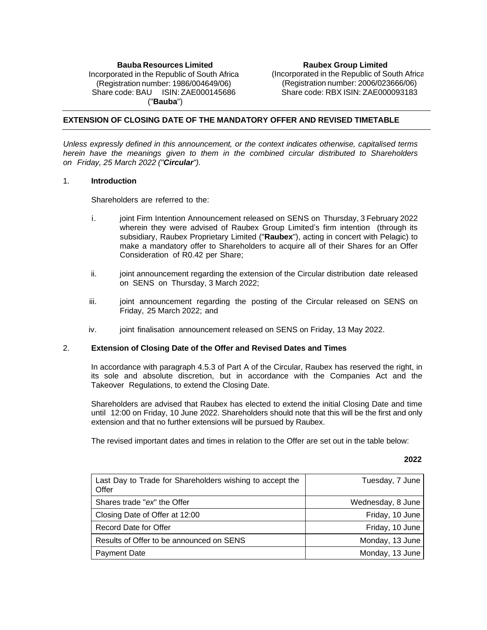**Bauba Resources Limited** Incorporated in the Republic of South Africa (Registration number: 1986/004649/06) Share code: BAU ISIN: ZAE000145686 ("**Bauba**")

**Raubex Group Limited** (Incorporated in the Republic of South Africa) (Registration number: 2006/023666/06) Share code: RBX ISIN: ZAE000093183

## **EXTENSION OF CLOSING DATE OF THE MANDATORY OFFER AND REVISED TIMETABLE**

*Unless expressly defined in this announcement, or the context indicates otherwise, capitalised terms herein have the meanings given to them in the combined circular distributed to Shareholders on Friday, 25 March 2022 ("Circular").*

### 1. **Introduction**

Shareholders are referred to the:

- i. joint Firm Intention Announcement released on SENS on Thursday, 3 February 2022 wherein they were advised of Raubex Group Limited's firm intention (through its subsidiary, Raubex Proprietary Limited ("**Raubex**"), acting in concert with Pelagic) to make a mandatory offer to Shareholders to acquire all of their Shares for an Offer Consideration of R0.42 per Share;
- ii. joint announcement regarding the extension of the Circular distribution date released on SENS on Thursday, 3 March 2022;
- iii. joint announcement regarding the posting of the Circular released on SENS on Friday, 25 March 2022; and
- iv. joint finalisation announcement released on SENS on Friday, 13 May 2022.

### 2. **Extension of Closing Date of the Offer and Revised Dates and Times**

In accordance with paragraph 4.5.3 of Part A of the Circular, Raubex has reserved the right, in its sole and absolute discretion, but in accordance with the Companies Act and the Takeover Regulations, to extend the Closing Date.

Shareholders are advised that Raubex has elected to extend the initial Closing Date and time until 12:00 on Friday, 10 June 2022. Shareholders should note that this will be the first and only extension and that no further extensions will be pursued by Raubex.

The revised important dates and times in relation to the Offer are set out in the table below:

**2022**

| Last Day to Trade for Shareholders wishing to accept the<br>Offer | Tuesday, 7 June   |
|-------------------------------------------------------------------|-------------------|
| Shares trade "ex" the Offer                                       | Wednesday, 8 June |
| Closing Date of Offer at 12:00                                    | Friday, 10 June   |
| Record Date for Offer                                             | Friday, 10 June   |
| Results of Offer to be announced on SENS                          | Monday, 13 June   |
| <b>Payment Date</b>                                               | Monday, 13 June   |